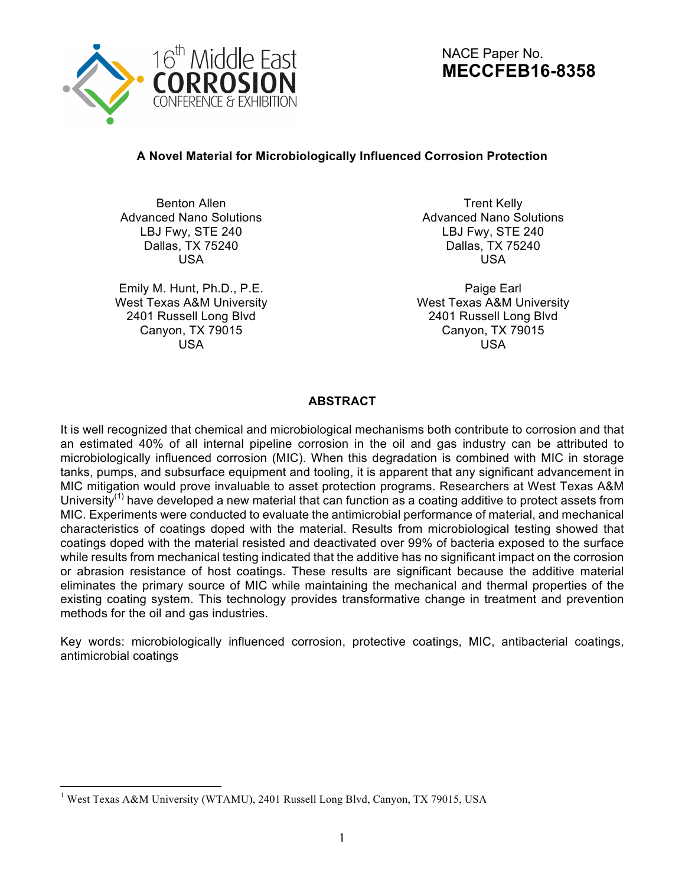

NACE Paper No. **MECCFEB16-8358**

# **A Novel Material for Microbiologically Influenced Corrosion Protection**

Benton Allen Advanced Nano Solutions LBJ Fwy, STE 240 Dallas, TX 75240 USA

Emily M. Hunt, Ph.D., P.E. West Texas A&M University 2401 Russell Long Blvd Canyon, TX 79015 USA

Trent Kelly Advanced Nano Solutions LBJ Fwy, STE 240 Dallas, TX 75240 USA

Paige Earl West Texas A&M University 2401 Russell Long Blvd Canyon, TX 79015 USA

## **ABSTRACT**

It is well recognized that chemical and microbiological mechanisms both contribute to corrosion and that an estimated 40% of all internal pipeline corrosion in the oil and gas industry can be attributed to microbiologically influenced corrosion (MIC). When this degradation is combined with MIC in storage tanks, pumps, and subsurface equipment and tooling, it is apparent that any significant advancement in MIC mitigation would prove invaluable to asset protection programs. Researchers at West Texas A&M University<sup>(1)</sup> have developed a new material that can function as a coating additive to protect assets from MIC. Experiments were conducted to evaluate the antimicrobial performance of material, and mechanical characteristics of coatings doped with the material. Results from microbiological testing showed that coatings doped with the material resisted and deactivated over 99% of bacteria exposed to the surface while results from mechanical testing indicated that the additive has no significant impact on the corrosion or abrasion resistance of host coatings. These results are significant because the additive material eliminates the primary source of MIC while maintaining the mechanical and thermal properties of the existing coating system. This technology provides transformative change in treatment and prevention methods for the oil and gas industries.

Key words: microbiologically influenced corrosion, protective coatings, MIC, antibacterial coatings, antimicrobial coatings

 <sup>1</sup> West Texas A&M University (WTAMU), 2401 Russell Long Blvd, Canyon, TX 79015, USA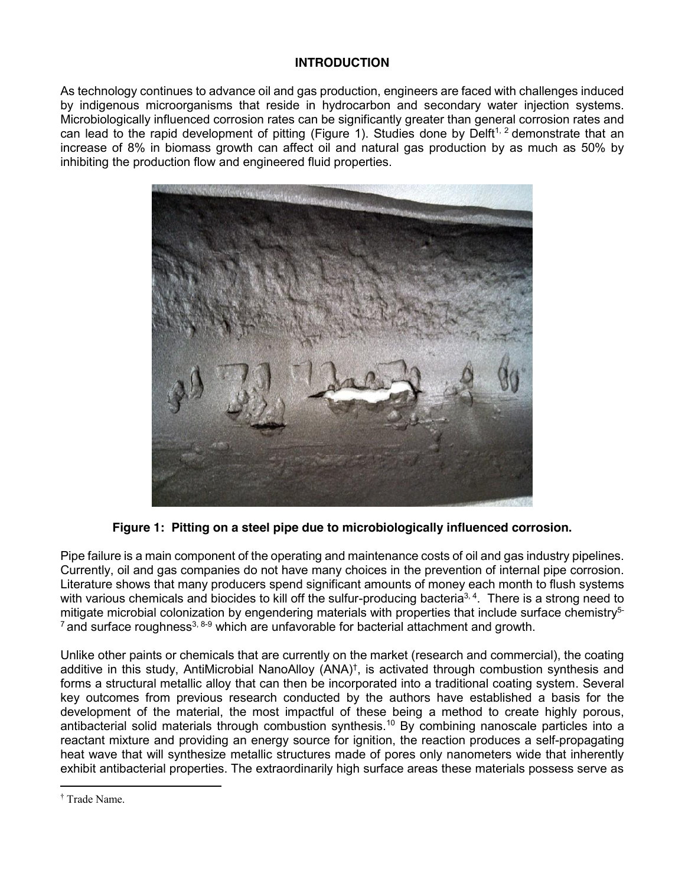### **INTRODUCTION**

As technology continues to advance oil and gas production, engineers are faced with challenges induced by indigenous microorganisms that reside in hydrocarbon and secondary water injection systems. Microbiologically influenced corrosion rates can be significantly greater than general corrosion rates and can lead to the rapid development of pitting (Figure 1). Studies done by Delft<sup>1, 2</sup> demonstrate that an increase of 8% in biomass growth can affect oil and natural gas production by as much as 50% by inhibiting the production flow and engineered fluid properties.



**Figure 1: Pitting on a steel pipe due to microbiologically influenced corrosion.**

Pipe failure is a main component of the operating and maintenance costs of oil and gas industry pipelines. Currently, oil and gas companies do not have many choices in the prevention of internal pipe corrosion. Literature shows that many producers spend significant amounts of money each month to flush systems with various chemicals and biocides to kill off the sulfur-producing bacteria<sup>3, 4</sup>. There is a strong need to mitigate microbial colonization by engendering materials with properties that include surface chemistry<sup>5-</sup>  $7$  and surface roughness<sup>3, 8-9</sup> which are unfavorable for bacterial attachment and growth.

Unlike other paints or chemicals that are currently on the market (research and commercial), the coating additive in this study, AntiMicrobial NanoAlloy (ANA)† , is activated through combustion synthesis and forms a structural metallic alloy that can then be incorporated into a traditional coating system. Several key outcomes from previous research conducted by the authors have established a basis for the development of the material, the most impactful of these being a method to create highly porous, antibacterial solid materials through combustion synthesis.<sup>10</sup> By combining nanoscale particles into a reactant mixture and providing an energy source for ignition, the reaction produces a self-propagating heat wave that will synthesize metallic structures made of pores only nanometers wide that inherently exhibit antibacterial properties. The extraordinarily high surface areas these materials possess serve as

 $\overline{a}$ 

<sup>†</sup> Trade Name.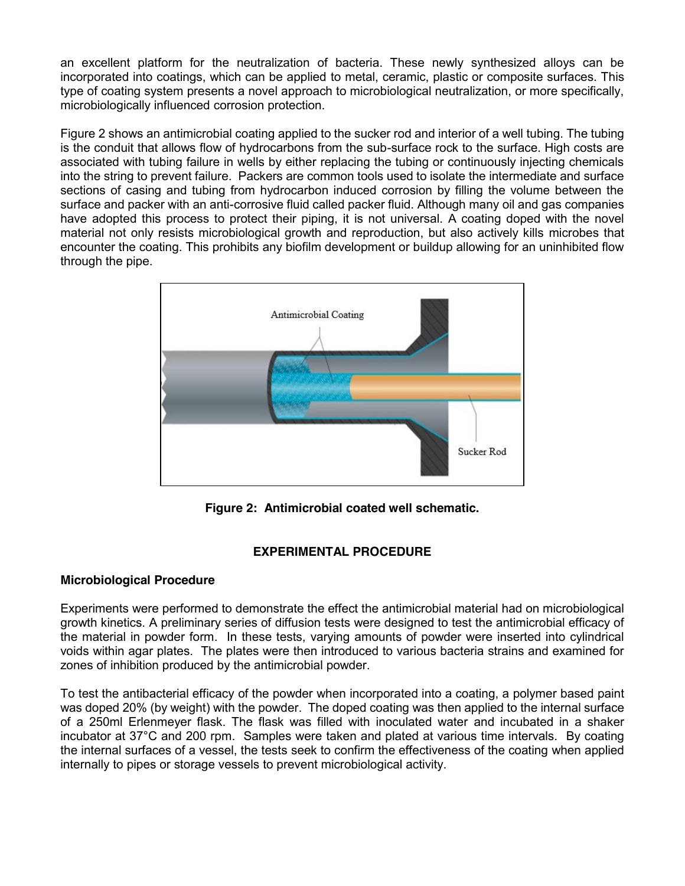an excellent platform for the neutralization of bacteria. These newly synthesized alloys can be incorporated into coatings, which can be applied to metal, ceramic, plastic or composite surfaces. This type of coating system presents a novel approach to microbiological neutralization, or more specifically, microbiologically influenced corrosion protection.

Figure 2 shows an antimicrobial coating applied to the sucker rod and interior of a well tubing. The tubing is the conduit that allows flow of hydrocarbons from the sub-surface rock to the surface. High costs are associated with tubing failure in wells by either replacing the tubing or continuously injecting chemicals into the string to prevent failure. Packers are common tools used to isolate the intermediate and surface sections of casing and tubing from hydrocarbon induced corrosion by filling the volume between the surface and packer with an anti-corrosive fluid called packer fluid. Although many oil and gas companies have adopted this process to protect their piping, it is not universal. A coating doped with the novel material not only resists microbiological growth and reproduction, but also actively kills microbes that encounter the coating. This prohibits any biofilm development or buildup allowing for an uninhibited flow through the pipe.



**Figure 2: Antimicrobial coated well schematic.**

# **EXPERIMENTAL PROCEDURE**

### **Microbiological Procedure**

Experiments were performed to demonstrate the effect the antimicrobial material had on microbiological growth kinetics. A preliminary series of diffusion tests were designed to test the antimicrobial efficacy of the material in powder form. In these tests, varying amounts of powder were inserted into cylindrical voids within agar plates. The plates were then introduced to various bacteria strains and examined for zones of inhibition produced by the antimicrobial powder.

To test the antibacterial efficacy of the powder when incorporated into a coating, a polymer based paint was doped 20% (by weight) with the powder. The doped coating was then applied to the internal surface of a 250ml Erlenmeyer flask. The flask was filled with inoculated water and incubated in a shaker incubator at 37°C and 200 rpm. Samples were taken and plated at various time intervals. By coating the internal surfaces of a vessel, the tests seek to confirm the effectiveness of the coating when applied internally to pipes or storage vessels to prevent microbiological activity.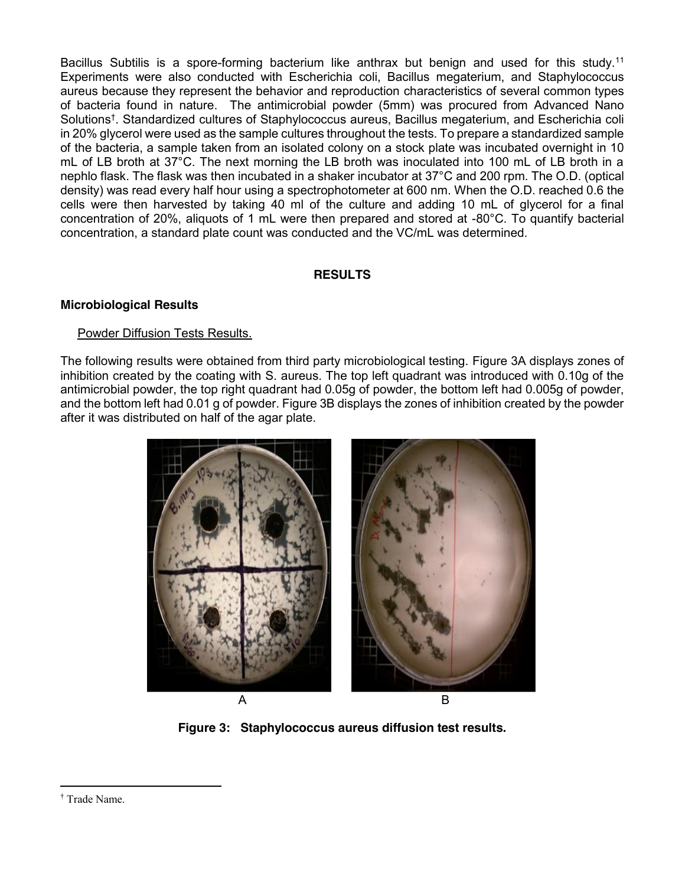Bacillus Subtilis is a spore-forming bacterium like anthrax but benign and used for this study.<sup>11</sup> Experiments were also conducted with Escherichia coli, Bacillus megaterium, and Staphylococcus aureus because they represent the behavior and reproduction characteristics of several common types of bacteria found in nature. The antimicrobial powder (5mm) was procured from Advanced Nano Solutions<sup>t</sup>. Standardized cultures of Staphylococcus aureus, Bacillus megaterium, and Escherichia coli in 20% glycerol were used as the sample cultures throughout the tests. To prepare a standardized sample of the bacteria, a sample taken from an isolated colony on a stock plate was incubated overnight in 10 mL of LB broth at 37°C. The next morning the LB broth was inoculated into 100 mL of LB broth in a nephlo flask. The flask was then incubated in a shaker incubator at 37°C and 200 rpm. The O.D. (optical density) was read every half hour using a spectrophotometer at 600 nm. When the O.D. reached 0.6 the cells were then harvested by taking 40 ml of the culture and adding 10 mL of glycerol for a final concentration of 20%, aliquots of 1 mL were then prepared and stored at -80°C. To quantify bacterial concentration, a standard plate count was conducted and the VC/mL was determined.

### **RESULTS**

### **Microbiological Results**

#### Powder Diffusion Tests Results.

The following results were obtained from third party microbiological testing. Figure 3A displays zones of inhibition created by the coating with S. aureus. The top left quadrant was introduced with 0.10g of the antimicrobial powder, the top right quadrant had 0.05g of powder, the bottom left had 0.005g of powder, and the bottom left had 0.01 g of powder. Figure 3B displays the zones of inhibition created by the powder after it was distributed on half of the agar plate.



**Figure 3: Staphylococcus aureus diffusion test results.**

 $\overline{a}$ 

<sup>†</sup> Trade Name.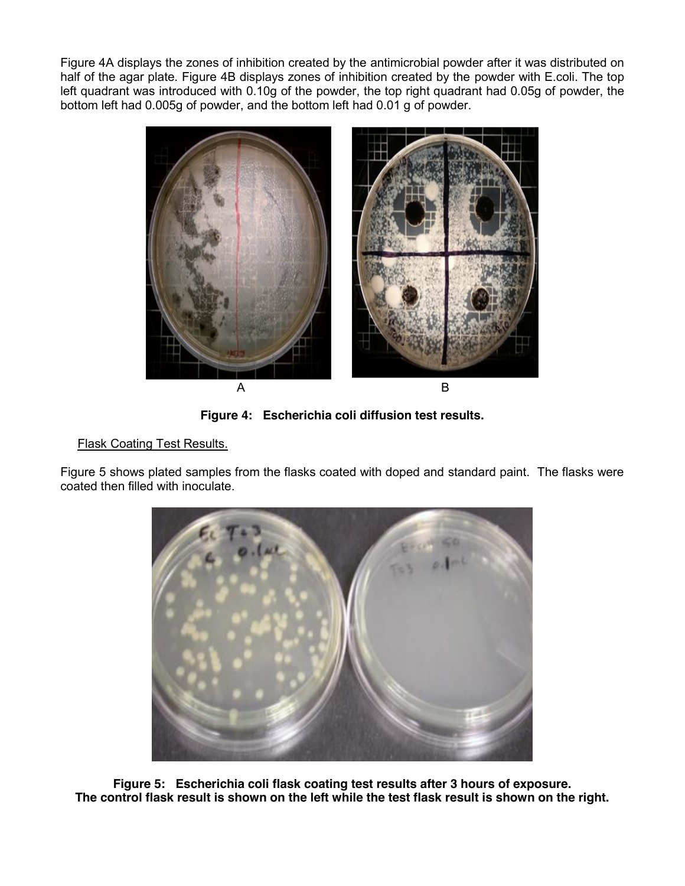Figure 4A displays the zones of inhibition created by the antimicrobial powder after it was distributed on half of the agar plate. Figure 4B displays zones of inhibition created by the powder with E.coli. The top left quadrant was introduced with 0.10g of the powder, the top right quadrant had 0.05g of powder, the bottom left had 0.005g of powder, and the bottom left had 0.01 g of powder.



**Figure 4: Escherichia coli diffusion test results.**

# **Flask Coating Test Results.**

Figure 5 shows plated samples from the flasks coated with doped and standard paint. The flasks were coated then filled with inoculate.



**Figure 5: Escherichia coli flask coating test results after 3 hours of exposure. The control flask result is shown on the left while the test flask result is shown on the right.**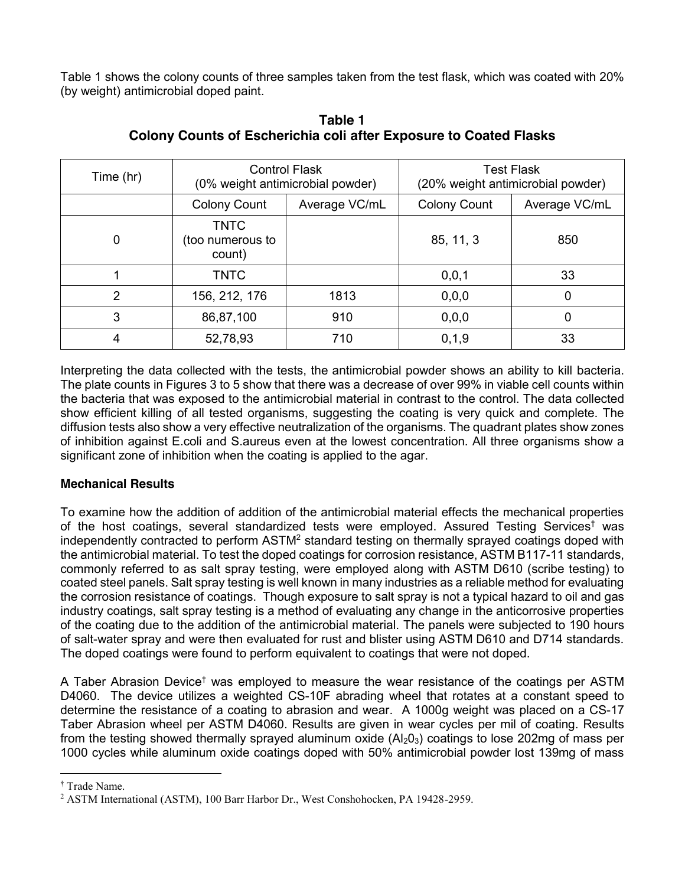Table 1 shows the colony counts of three samples taken from the test flask, which was coated with 20% (by weight) antimicrobial doped paint.

| Time (hr)      | <b>Control Flask</b><br>(0% weight antimicrobial powder) |               | <b>Test Flask</b><br>(20% weight antimicrobial powder) |               |
|----------------|----------------------------------------------------------|---------------|--------------------------------------------------------|---------------|
|                | <b>Colony Count</b>                                      | Average VC/mL | <b>Colony Count</b>                                    | Average VC/mL |
| 0              | <b>TNTC</b><br>(too numerous to<br>count)                |               | 85, 11, 3                                              | 850           |
|                | <b>TNTC</b>                                              |               | 0, 0, 1                                                | 33            |
| $\overline{2}$ | 156, 212, 176                                            | 1813          | 0, 0, 0                                                | 0             |
| 3              | 86,87,100                                                | 910           | 0, 0, 0                                                | 0             |
| 4              | 52,78,93                                                 | 710           | 0, 1, 9                                                | 33            |

**Table 1 Colony Counts of Escherichia coli after Exposure to Coated Flasks**

Interpreting the data collected with the tests, the antimicrobial powder shows an ability to kill bacteria. The plate counts in Figures 3 to 5 show that there was a decrease of over 99% in viable cell counts within the bacteria that was exposed to the antimicrobial material in contrast to the control. The data collected show efficient killing of all tested organisms, suggesting the coating is very quick and complete. The diffusion tests also show a very effective neutralization of the organisms. The quadrant plates show zones of inhibition against E.coli and S.aureus even at the lowest concentration. All three organisms show a significant zone of inhibition when the coating is applied to the agar.

# **Mechanical Results**

To examine how the addition of addition of the antimicrobial material effects the mechanical properties of the host coatings, several standardized tests were employed. Assured Testing Services† was independently contracted to perform ASTM<sup>2</sup> standard testing on thermally sprayed coatings doped with the antimicrobial material. To test the doped coatings for corrosion resistance, ASTM B117-11 standards, commonly referred to as salt spray testing, were employed along with ASTM D610 (scribe testing) to coated steel panels. Salt spray testing is well known in many industries as a reliable method for evaluating the corrosion resistance of coatings. Though exposure to salt spray is not a typical hazard to oil and gas industry coatings, salt spray testing is a method of evaluating any change in the anticorrosive properties of the coating due to the addition of the antimicrobial material. The panels were subjected to 190 hours of salt-water spray and were then evaluated for rust and blister using ASTM D610 and D714 standards. The doped coatings were found to perform equivalent to coatings that were not doped.

A Taber Abrasion Device† was employed to measure the wear resistance of the coatings per ASTM D4060. The device utilizes a weighted CS-10F abrading wheel that rotates at a constant speed to determine the resistance of a coating to abrasion and wear. A 1000g weight was placed on a CS-17 Taber Abrasion wheel per ASTM D4060. Results are given in wear cycles per mil of coating. Results from the testing showed thermally sprayed aluminum oxide  $(AI_2O_3)$  coatings to lose 202mg of mass per 1000 cycles while aluminum oxide coatings doped with 50% antimicrobial powder lost 139mg of mass

 $\overline{a}$ 

<sup>†</sup> Trade Name.

<sup>2</sup> ASTM International (ASTM), 100 Barr Harbor Dr., West Conshohocken, PA 19428-2959.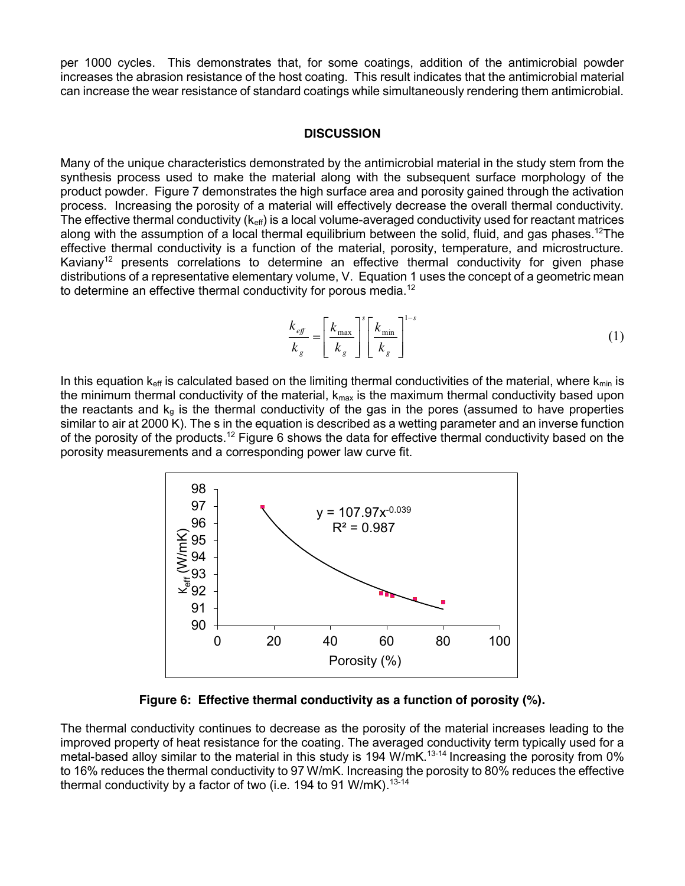per 1000 cycles. This demonstrates that, for some coatings, addition of the antimicrobial powder increases the abrasion resistance of the host coating. This result indicates that the antimicrobial material can increase the wear resistance of standard coatings while simultaneously rendering them antimicrobial.

#### **DISCUSSION**

Many of the unique characteristics demonstrated by the antimicrobial material in the study stem from the synthesis process used to make the material along with the subsequent surface morphology of the product powder. Figure 7 demonstrates the high surface area and porosity gained through the activation process. Increasing the porosity of a material will effectively decrease the overall thermal conductivity. The effective thermal conductivity  $(k<sub>eff</sub>)$  is a local volume-averaged conductivity used for reactant matrices along with the assumption of a local thermal equilibrium between the solid, fluid, and gas phases.<sup>12</sup>The effective thermal conductivity is a function of the material, porosity, temperature, and microstructure. Kaviany<sup>12</sup> presents correlations to determine an effective thermal conductivity for given phase distributions of a representative elementary volume, V. Equation 1 uses the concept of a geometric mean to determine an effective thermal conductivity for porous media.<sup>12</sup>

$$
\frac{k_{\text{eff}}}{k_{\text{g}}} = \left[\frac{k_{\text{max}}}{k_{\text{g}}}\right]^s \left[\frac{k_{\text{min}}}{k_{\text{g}}}\right]^{1-s} \tag{1}
$$

In this equation  $k_{eff}$  is calculated based on the limiting thermal conductivities of the material, where  $k_{min}$  is the minimum thermal conductivity of the material,  $k_{max}$  is the maximum thermal conductivity based upon the reactants and  $k_q$  is the thermal conductivity of the gas in the pores (assumed to have properties similar to air at 2000 K). The s in the equation is described as a wetting parameter and an inverse function of the porosity of the products.<sup>12</sup> Figure 6 shows the data for effective thermal conductivity based on the porosity measurements and a corresponding power law curve fit.



**Figure 6: Effective thermal conductivity as a function of porosity (%).**

The thermal conductivity continues to decrease as the porosity of the material increases leading to the improved property of heat resistance for the coating. The averaged conductivity term typically used for a metal-based alloy similar to the material in this study is 194 W/mK.<sup>13-14</sup> Increasing the porosity from 0% to 16% reduces the thermal conductivity to 97 W/mK. Increasing the porosity to 80% reduces the effective thermal conductivity by a factor of two (i.e. 194 to 91 W/mK).<sup>13-14</sup>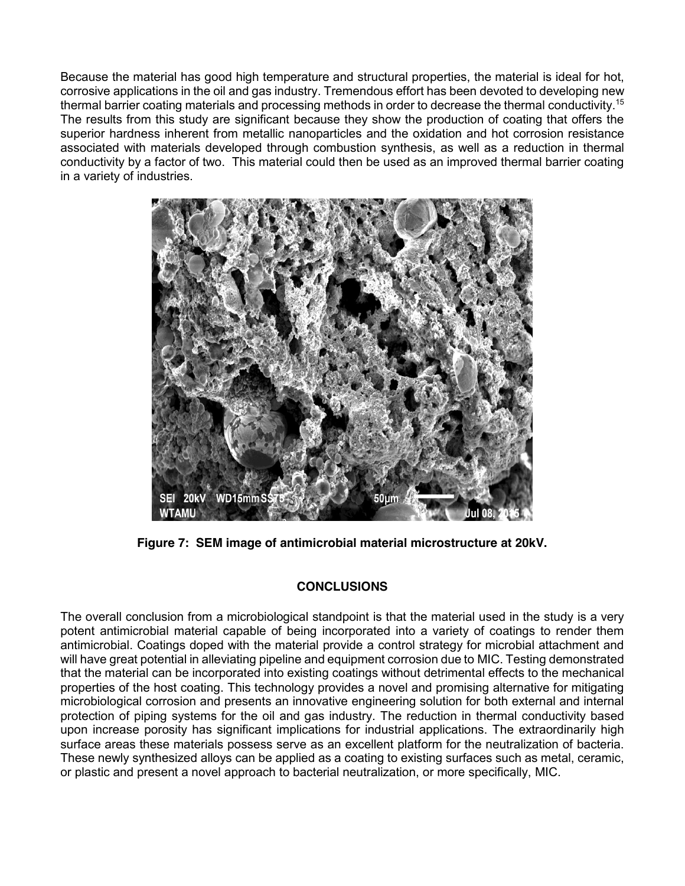Because the material has good high temperature and structural properties, the material is ideal for hot, corrosive applications in the oil and gas industry. Tremendous effort has been devoted to developing new thermal barrier coating materials and processing methods in order to decrease the thermal conductivity.15 The results from this study are significant because they show the production of coating that offers the superior hardness inherent from metallic nanoparticles and the oxidation and hot corrosion resistance associated with materials developed through combustion synthesis, as well as a reduction in thermal conductivity by a factor of two. This material could then be used as an improved thermal barrier coating in a variety of industries.



**Figure 7: SEM image of antimicrobial material microstructure at 20kV.**

# **CONCLUSIONS**

The overall conclusion from a microbiological standpoint is that the material used in the study is a very potent antimicrobial material capable of being incorporated into a variety of coatings to render them antimicrobial. Coatings doped with the material provide a control strategy for microbial attachment and will have great potential in alleviating pipeline and equipment corrosion due to MIC. Testing demonstrated that the material can be incorporated into existing coatings without detrimental effects to the mechanical properties of the host coating. This technology provides a novel and promising alternative for mitigating microbiological corrosion and presents an innovative engineering solution for both external and internal protection of piping systems for the oil and gas industry. The reduction in thermal conductivity based upon increase porosity has significant implications for industrial applications. The extraordinarily high surface areas these materials possess serve as an excellent platform for the neutralization of bacteria. These newly synthesized alloys can be applied as a coating to existing surfaces such as metal, ceramic, or plastic and present a novel approach to bacterial neutralization, or more specifically, MIC.